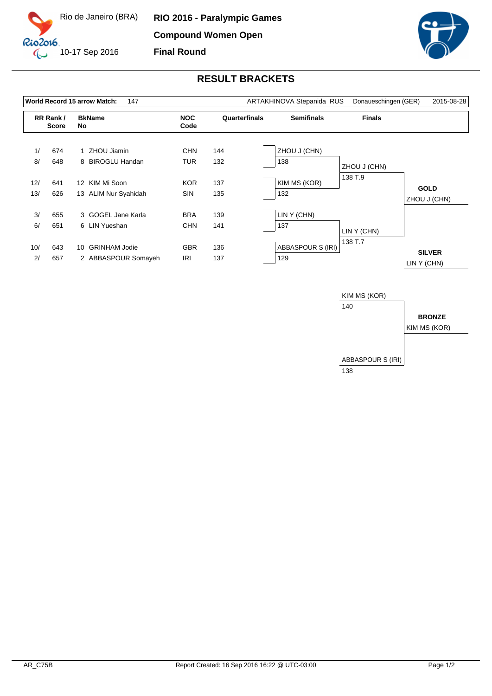



## **RESULT BRACKETS**

| World Record 15 arrow Match:<br>147 |                          |    |                      |                    |               | ARTAKHINOVA Stepanida RUS | Donaueschingen (GER) | 2015-08-28                   |
|-------------------------------------|--------------------------|----|----------------------|--------------------|---------------|---------------------------|----------------------|------------------------------|
|                                     | RR Rank/<br><b>Score</b> |    | <b>BkName</b><br>No  | <b>NOC</b><br>Code | Quarterfinals | <b>Semifinals</b>         | <b>Finals</b>        |                              |
| 1/                                  | 674                      |    | 1 ZHOU Jiamin        | <b>CHN</b>         | 144           | ZHOU J (CHN)              |                      |                              |
| 8/                                  | 648                      |    | 8 BIROGLU Handan     | <b>TUR</b>         | 132           | 138                       | ZHOU J (CHN)         |                              |
| 12/                                 | 641                      |    | 12 KIM Mi Soon       | <b>KOR</b>         | 137           | KIM MS (KOR)              | 138 T.9              | <b>GOLD</b>                  |
| 13/                                 | 626                      |    | 13 ALIM Nur Syahidah | <b>SIN</b>         | 135           | 132                       |                      | ZHOU J (CHN)                 |
| 3/                                  | 655                      |    | 3 GOGEL Jane Karla   | <b>BRA</b>         | 139           | LIN Y (CHN)               |                      |                              |
| 6/                                  | 651                      |    | 6 LIN Yueshan        | <b>CHN</b>         | 141           | 137                       | LIN Y (CHN)          |                              |
| 10/                                 | 643                      | 10 | <b>GRINHAM Jodie</b> | <b>GBR</b>         | 136           | ABBASPOUR S (IRI)         | 138 T.7              |                              |
| 2/                                  | 657                      |    | 2 ABBASPOUR Somayeh  | <b>IRI</b>         | 137           | 129                       |                      | <b>SILVER</b><br>LIN Y (CHN) |